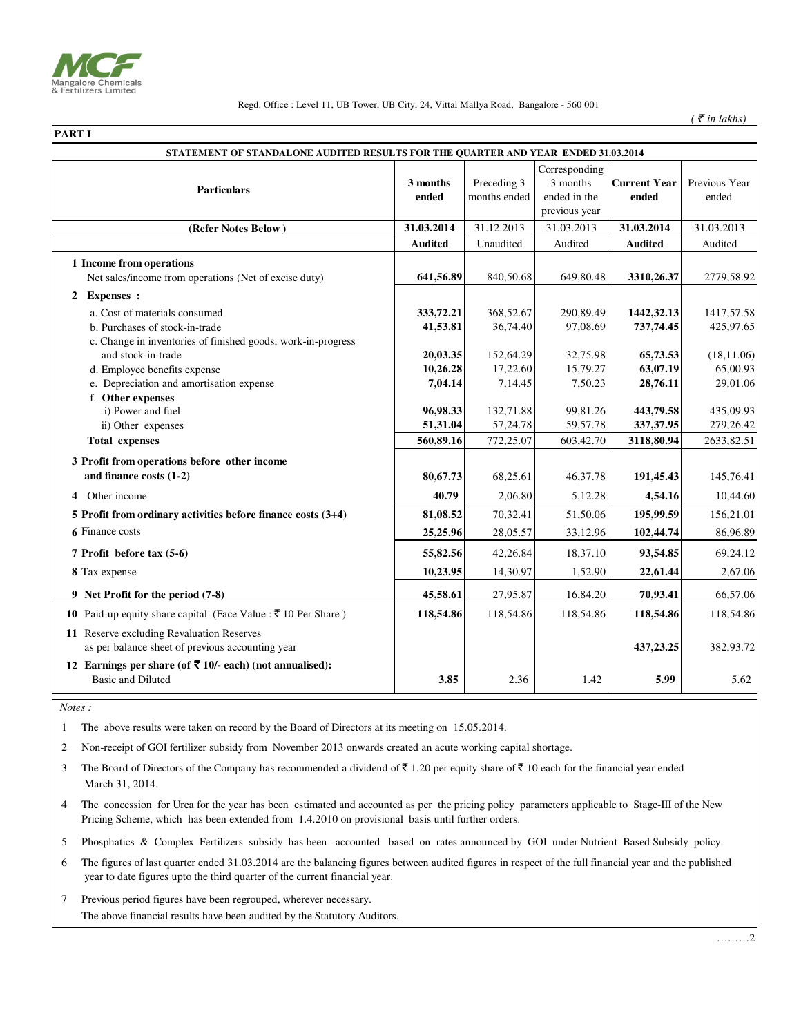

| <b>PART I</b> |                                                                                                |                   |                             |                                                            |                              |                        |
|---------------|------------------------------------------------------------------------------------------------|-------------------|-----------------------------|------------------------------------------------------------|------------------------------|------------------------|
|               | STATEMENT OF STANDALONE AUDITED RESULTS FOR THE QUARTER AND YEAR ENDED 31.03.2014              |                   |                             |                                                            |                              |                        |
|               | <b>Particulars</b>                                                                             | 3 months<br>ended | Preceding 3<br>months ended | Corresponding<br>3 months<br>ended in the<br>previous year | <b>Current Year</b><br>ended | Previous Year<br>ended |
|               | (Refer Notes Below)                                                                            | 31.03.2014        | 31.12.2013                  | 31.03.2013                                                 | 31.03.2014                   | 31.03.2013             |
|               |                                                                                                | <b>Audited</b>    | Unaudited                   | Audited                                                    | <b>Audited</b>               | Audited                |
|               | 1 Income from operations<br>Net sales/income from operations (Net of excise duty)              | 641,56.89         | 840,50.68                   | 649,80.48                                                  | 3310,26.37                   | 2779,58.92             |
|               | 2 Expenses :                                                                                   |                   |                             |                                                            |                              |                        |
|               | a. Cost of materials consumed                                                                  | 333,72.21         | 368,52.67                   | 290,89.49                                                  | 1442, 32.13                  | 1417,57.58             |
|               | b. Purchases of stock-in-trade<br>c. Change in inventories of finished goods, work-in-progress | 41,53.81          | 36,74.40                    | 97,08.69                                                   | 737,74.45                    | 425,97.65              |
|               | and stock-in-trade                                                                             | 20,03.35          | 152,64.29                   | 32,75.98                                                   | 65,73.53                     | (18, 11.06)            |
|               | d. Employee benefits expense                                                                   | 10,26.28          | 17,22.60                    | 15,79.27                                                   | 63,07.19                     | 65,00.93               |
|               | e. Depreciation and amortisation expense                                                       | 7,04.14           | 7,14.45                     | 7,50.23                                                    | 28,76.11                     | 29,01.06               |
|               | f. Other expenses                                                                              |                   |                             |                                                            |                              |                        |
|               | i) Power and fuel                                                                              | 96,98.33          | 132,71.88                   | 99,81.26                                                   | 443,79.58                    | 435,09.93              |
|               | ii) Other expenses                                                                             | 51,31.04          | 57,24.78                    | 59,57.78                                                   | 337, 37. 95                  | 279,26.42              |
|               | <b>Total expenses</b>                                                                          | 560,89.16         | 772,25.07                   | 603,42.70                                                  | 3118,80.94                   | 2633,82.51             |
|               | 3 Profit from operations before other income                                                   |                   |                             |                                                            |                              |                        |
|               | and finance costs (1-2)                                                                        | 80,67.73          | 68,25.61                    | 46, 37. 78                                                 | 191,45.43                    | 145,76.41              |
| 4             | Other income                                                                                   | 40.79             | 2.06.80                     | 5,12.28                                                    | 4,54.16                      | 10,44.60               |
|               | 5 Profit from ordinary activities before finance costs $(3+4)$                                 | 81,08.52          | 70,32.41                    | 51,50.06                                                   | 195,99.59                    | 156,21.01              |
|               | 6 Finance costs                                                                                | 25,25.96          | 28,05.57                    | 33,12.96                                                   | 102,44.74                    | 86,96.89               |
|               | 7 Profit before tax (5-6)                                                                      | 55,82.56          | 42,26.84                    | 18,37.10                                                   | 93,54.85                     | 69,24.12               |
|               | 8 Tax expense                                                                                  | 10,23.95          | 14,30.97                    | 1,52.90                                                    | 22,61.44                     | 2,67.06                |
|               | 9 Net Profit for the period (7-8)                                                              | 45,58.61          | 27,95.87                    | 16,84.20                                                   | 70,93.41                     | 66,57.06               |
|               | <b>10</b> Paid-up equity share capital (Face Value : ₹ 10 Per Share)                           | 118,54.86         | 118,54.86                   | 118,54.86                                                  | 118,54.86                    | 118,54.86              |
|               | 11 Reserve excluding Revaluation Reserves<br>as per balance sheet of previous accounting year  |                   |                             |                                                            | 437,23.25                    | 382,93.72              |
|               | 12 Earnings per share (of ₹ 10/- each) (not annualised):<br><b>Basic and Diluted</b>           | 3.85              | 2.36                        | 1.42                                                       | 5.99                         | 5.62                   |

 *Notes :*

1 The above results were taken on record by the Board of Directors at its meeting on 15.05.2014.

2 Non-receipt of GOI fertilizer subsidy from November 2013 onwards created an acute working capital shortage.

3 The Board of Directors of the Company has recommended a dividend of  $\bar{\mathfrak{c}}$  1.20 per equity share of  $\bar{\mathfrak{c}}$  10 each for the financial year ended March 31, 2014.

4 The concession for Urea for the year has been estimated and accounted as per the pricing policy parameters applicable to Stage-III of the New Pricing Scheme, which has been extended from 1.4.2010 on provisional basis until further orders.

5 Phosphatics & Complex Fertilizers subsidy has been accounted based on rates announced by GOI under Nutrient Based Subsidy policy.

6 The figures of last quarter ended 31.03.2014 are the balancing figures between audited figures in respect of the full financial year and the published year to date figures upto the third quarter of the current financial year.

7 Previous period figures have been regrouped, wherever necessary. The above financial results have been audited by the Statutory Auditors.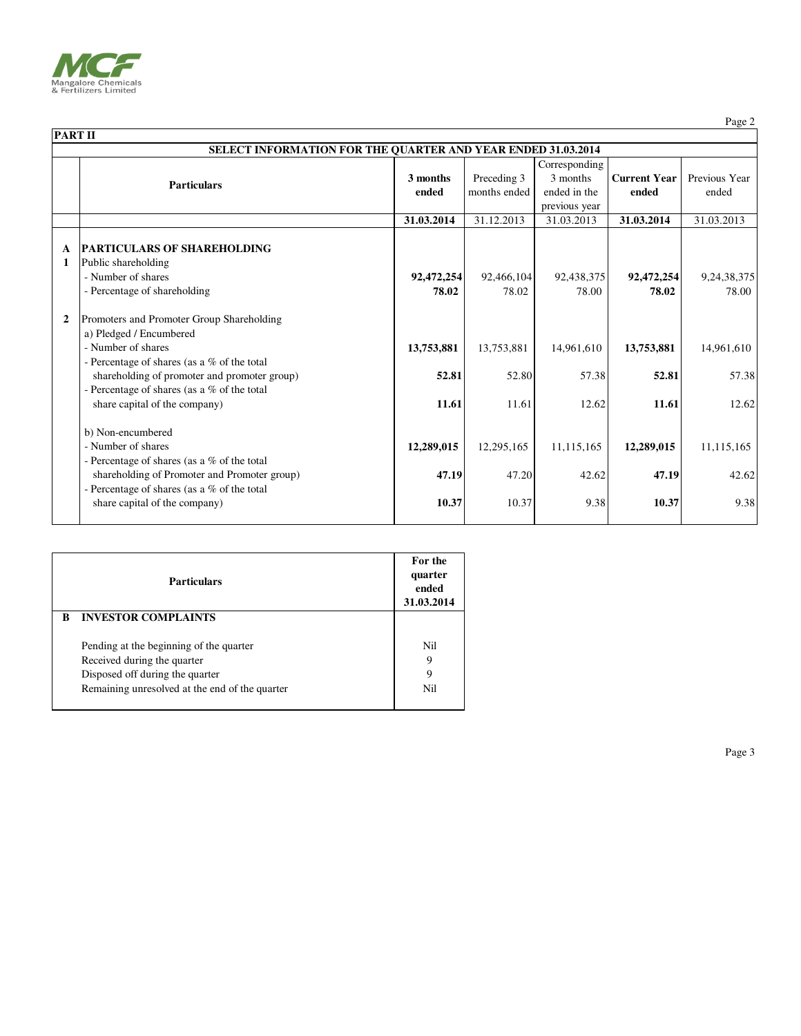

Page 2

|                                                                     | <b>PART II</b>                                                                                                                                                                                                                             |                     |                             |                                           |                              |                         |  |
|---------------------------------------------------------------------|--------------------------------------------------------------------------------------------------------------------------------------------------------------------------------------------------------------------------------------------|---------------------|-----------------------------|-------------------------------------------|------------------------------|-------------------------|--|
| <b>SELECT INFORMATION FOR THE QUARTER AND YEAR ENDED 31.03.2014</b> |                                                                                                                                                                                                                                            |                     |                             |                                           |                              |                         |  |
|                                                                     | <b>Particulars</b>                                                                                                                                                                                                                         | 3 months<br>ended   | Preceding 3<br>months ended | Corresponding<br>3 months<br>ended in the | <b>Current Year</b><br>ended | Previous Year<br>ended  |  |
|                                                                     |                                                                                                                                                                                                                                            |                     |                             | previous year                             |                              |                         |  |
|                                                                     |                                                                                                                                                                                                                                            | 31.03.2014          | 31.12.2013                  | 31.03.2013                                | 31.03.2014                   | 31.03.2013              |  |
| A<br>1                                                              | <b>PARTICULARS OF SHAREHOLDING</b><br>Public shareholding<br>- Number of shares<br>- Percentage of shareholding                                                                                                                            | 92,472,254<br>78.02 | 92,466,104<br>78.02         | 92,438,375<br>78.00                       | 92,472,254<br>78.02          | 9, 24, 38, 375<br>78.00 |  |
| $\mathbf{2}$                                                        | Promoters and Promoter Group Shareholding<br>a) Pledged / Encumbered<br>- Number of shares<br>- Percentage of shares (as a $%$ of the total<br>shareholding of promoter and promoter group)<br>- Percentage of shares (as a % of the total | 13,753,881<br>52.81 | 13,753,881<br>52.80         | 14.961.610<br>57.38                       | 13,753,881<br>52.81          | 14,961,610<br>57.38     |  |
|                                                                     | share capital of the company)                                                                                                                                                                                                              | 11.61               | 11.61                       | 12.62                                     | 11.61                        | 12.62                   |  |
|                                                                     | b) Non-encumbered<br>- Number of shares<br>- Percentage of shares (as a % of the total                                                                                                                                                     | 12,289,015          | 12,295,165                  | 11,115,165                                | 12,289,015                   | 11,115,165              |  |
|                                                                     | shareholding of Promoter and Promoter group)<br>- Percentage of shares (as a % of the total<br>share capital of the company)                                                                                                               | 47.19<br>10.37      | 47.20<br>10.37              | 42.62<br>9.38                             | 47.19<br>10.37               | 42.62<br>9.38           |  |

|   | <b>Particulars</b>                             |             |
|---|------------------------------------------------|-------------|
| B | <b>INVESTOR COMPLAINTS</b>                     |             |
|   | Pending at the beginning of the quarter        | Nil         |
|   | Received during the quarter                    | 9           |
|   | Disposed off during the quarter                | $\mathbf Q$ |
|   | Remaining unresolved at the end of the quarter | Nil         |
|   |                                                |             |